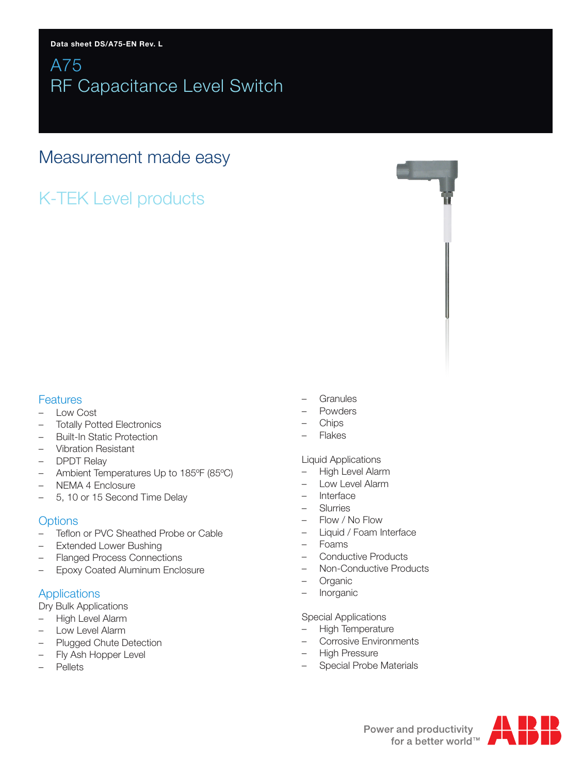# A75 RF Capacitance Level Switch

# Measurement made easy

# K-TEK Level products

## **Features**

- Low Cost
- Totally Potted Electronics
- Built-In Static Protection
- Vibration Resistant
- DPDT Relay
- Ambient Temperatures Up to 185ºF (85ºC)
- NEMA 4 Enclosure
- 5, 10 or 15 Second Time Delay

## **Options**

- Teflon or PVC Sheathed Probe or Cable
- Extended Lower Bushing
- Flanged Process Connections
- Epoxy Coated Aluminum Enclosure

## Applications

Dry Bulk Applications

- High Level Alarm
- Low Level Alarm
- Plugged Chute Detection
- Fly Ash Hopper Level
- **Pellets**
- **Granules**
- Powders
- Chips
- Flakes

### Liquid Applications

- High Level Alarm
- Low Level Alarm
- **Interface**
- Slurries
- Flow / No Flow
- Liquid / Foam Interface
- Foams
- Conductive Products
- Non-Conductive Products
- Organic
- Inorganic

### Special Applications

- High Temperature
- Corrosive Environments
- High Pressure
- Special Probe Materials

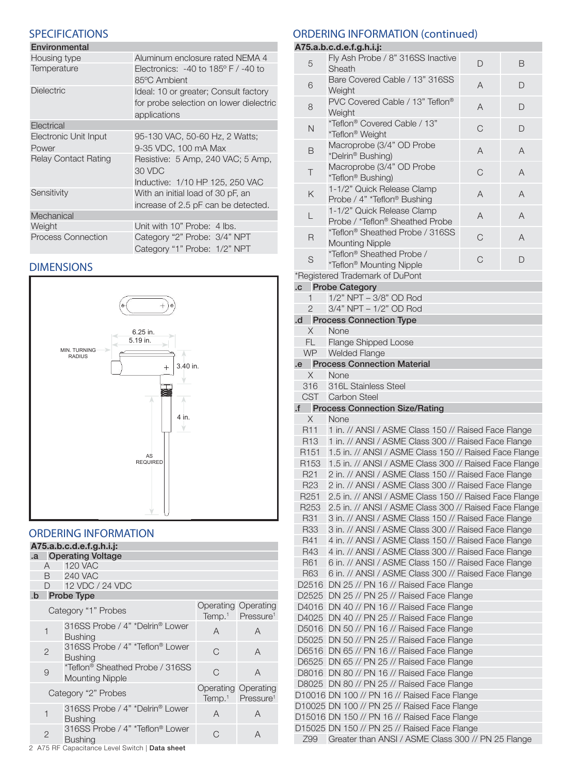## **SPECIFICATIONS**

| Environmental               |                                                  |
|-----------------------------|--------------------------------------------------|
| Housing type                | Aluminum enclosure rated NEMA 4                  |
| Temperature                 | Electronics: $-40$ to $185^{\circ}$ F / $-40$ to |
|                             | 85°C Ambient                                     |
| <b>Dielectric</b>           | Ideal: 10 or greater; Consult factory            |
|                             | for probe selection on lower dielectric          |
|                             | applications                                     |
| Electrical                  |                                                  |
| Electronic Unit Input       | 95-130 VAC, 50-60 Hz, 2 Watts;                   |
| Power                       | 9-35 VDC, 100 mA Max                             |
| <b>Relay Contact Rating</b> | Resistive: 5 Amp, 240 VAC; 5 Amp,                |
|                             | 30 VDC                                           |
|                             | Inductive: 1/10 HP 125, 250 VAC                  |
| Sensitivity                 | With an initial load of 30 pF, an                |
|                             | increase of 2.5 pF can be detected.              |
| Mechanical                  |                                                  |
| Weight                      | Unit with 10" Probe: 4 lbs.                      |
| <b>Process Connection</b>   | Category "2" Probe: 3/4" NPT                     |
|                             | Category "1" Probe: 1/2" NPT                     |

## DIMENSIONS



# ORDERING INFORMATION

| A75.a.b.c.d.e.f.g.h.i.j: |                |                                                           |                                          |                                          |
|--------------------------|----------------|-----------------------------------------------------------|------------------------------------------|------------------------------------------|
| .a                       |                | <b>Operating Voltage</b>                                  |                                          |                                          |
|                          |                | A 120 VAC                                                 |                                          |                                          |
|                          |                | <b>B</b> 240 VAC                                          |                                          |                                          |
|                          |                | D 12 VDC / 24 VDC                                         |                                          |                                          |
|                          |                | .b Probe Type                                             |                                          |                                          |
|                          |                | Category "1" Probes                                       | Operating Operating                      | Temp. <sup>1</sup> Pressure <sup>1</sup> |
|                          | 1              | 316SS Probe / 4" *Delrin® Lower<br><b>Bushing</b>         | A                                        | A                                        |
|                          | $\mathbf{2}$   | 316SS Probe / 4" *Teflon® Lower<br><b>Bushing</b>         | $\cap$                                   | A                                        |
|                          | 9              | *Teflon® Sheathed Probe / 316SS<br><b>Mounting Nipple</b> | C                                        | A                                        |
| Category "2" Probes      |                | <b>Operating Operating</b>                                | Temp. <sup>1</sup> Pressure <sup>1</sup> |                                          |
|                          | 1              | 316SS Probe / 4" *Delrin® Lower<br><b>Bushing</b>         | A                                        | A                                        |
|                          | $\overline{2}$ | 316SS Probe / 4" *Teflon® Lower<br><b>Bushing</b>         | C,                                       | A                                        |

## ORDERING INFORMATION (continued)

#### **A75.a.b.c.d.e.f.g.h.i.j:**

| 5                                                              | Fly Ash Probe / 8" 316SS Inactive                                                                  | D           | B              |
|----------------------------------------------------------------|----------------------------------------------------------------------------------------------------|-------------|----------------|
| Sheath<br>Bare Covered Cable / 13" 316SS<br>6                  |                                                                                                    | A           | D              |
| Weight<br>PVC Covered Cable / 13" Teflon®<br>8                 |                                                                                                    | A           | D              |
| Weight<br>*Teflon® Covered Cable / 13"<br>N<br>*Teflon® Weight |                                                                                                    | C           | D              |
| В                                                              | Macroprobe (3/4" OD Probe<br>*Delrin® Bushing)                                                     | A           | $\overline{A}$ |
| Τ                                                              | Macroprobe (3/4" OD Probe<br>*Teflon® Bushing)                                                     | $\mathsf C$ | $\overline{A}$ |
| 1-1/2" Quick Release Clamp<br>Κ<br>Probe / 4" *Teflon® Bushing |                                                                                                    | A           | $\overline{A}$ |
| L                                                              | 1-1/2" Quick Release Clamp<br>Probe / *Teflon® Sheathed Probe                                      | A           | $\overline{A}$ |
| R                                                              | *Teflon® Sheathed Probe / 316SS<br><b>Mounting Nipple</b>                                          | $\mathsf C$ | A              |
| S                                                              | *Teflon® Sheathed Probe /<br>*Teflon® Mounting Nipple                                              | C           | D              |
|                                                                | *Registered Trademark of DuPont                                                                    |             |                |
|                                                                | .c Probe Category                                                                                  |             |                |
| 1                                                              | 1/2" NPT - 3/8" OD Rod                                                                             |             |                |
| $\overline{2}$                                                 | 3/4" NPT - 1/2" OD Rod                                                                             |             |                |
|                                                                | .d Process Connection Type                                                                         |             |                |
| $\times$                                                       | None                                                                                               |             |                |
| FL.                                                            | <b>Flange Shipped Loose</b>                                                                        |             |                |
| <b>WP</b>                                                      | <b>Welded Flange</b>                                                                               |             |                |
|                                                                | .e Process Connection Material                                                                     |             |                |
| $\times$                                                       | None                                                                                               |             |                |
|                                                                |                                                                                                    |             |                |
| 316                                                            | 316L Stainless Steel                                                                               |             |                |
| <b>CST</b>                                                     | Carbon Steel<br>.f Process Connection Size/Rating                                                  |             |                |
|                                                                |                                                                                                    |             |                |
|                                                                |                                                                                                    |             |                |
| X                                                              | None                                                                                               |             |                |
| R <sub>11</sub>                                                | 1 in. // ANSI / ASME Class 150 // Raised Face Flange                                               |             |                |
| R <sub>13</sub>                                                | 1 in. // ANSI / ASME Class 300 // Raised Face Flange                                               |             |                |
| R <sub>151</sub>                                               | 1.5 in. // ANSI / ASME Class 150 // Raised Face Flange                                             |             |                |
| R <sub>153</sub>                                               | 1.5 in. // ANSI / ASME Class 300 // Raised Face Flange                                             |             |                |
| R <sub>21</sub>                                                | 2 in. // ANSI / ASME Class 150 // Raised Face Flange                                               |             |                |
| R <sub>23</sub>                                                | 2 in. // ANSI / ASME Class 300 // Raised Face Flange                                               |             |                |
| R <sub>251</sub>                                               | 2.5 in. // ANSI / ASME Class 150 // Raised Face Flange                                             |             |                |
| R <sub>253</sub>                                               | 2.5 in. // ANSI / ASME Class 300 // Raised Face Flange                                             |             |                |
| R31                                                            |                                                                                                    |             |                |
|                                                                | 3 in. // ANSI / ASME Class 150 // Raised Face Flange                                               |             |                |
| <b>R33</b>                                                     | 3 in. // ANSI / ASME Class 300 // Raised Face Flange                                               |             |                |
| R41                                                            | 4 in. // ANSI / ASME Class 150 // Raised Face Flange                                               |             |                |
| R43                                                            | 4 in. // ANSI / ASME Class 300 // Raised Face Flange                                               |             |                |
| R61                                                            | 6 in. // ANSI / ASME Class 150 // Raised Face Flange                                               |             |                |
| R63                                                            | 6 in. // ANSI / ASME Class 300 // Raised Face Flange                                               |             |                |
| D2516                                                          | DN 25 // PN 16 // Raised Face Flange                                                               |             |                |
| D2525                                                          | DN 25 // PN 25 // Raised Face Flange                                                               |             |                |
| D4016                                                          | DN 40 // PN 16 // Raised Face Flange                                                               |             |                |
| D4025                                                          | DN 40 // PN 25 // Raised Face Flange                                                               |             |                |
| D5016                                                          | DN 50 // PN 16 // Raised Face Flange                                                               |             |                |
| D5025                                                          | DN 50 // PN 25 // Raised Face Flange                                                               |             |                |
|                                                                | D6516 DN 65 // PN 16 // Raised Face Flange                                                         |             |                |
| D6525                                                          | DN 65 // PN 25 // Raised Face Flange                                                               |             |                |
|                                                                | D8016 DN 80 // PN 16 // Raised Face Flange                                                         |             |                |
|                                                                | D8025 DN 80 // PN 25 // Raised Face Flange                                                         |             |                |
|                                                                | D10016 DN 100 // PN 16 // Raised Face Flange                                                       |             |                |
|                                                                |                                                                                                    |             |                |
|                                                                | D10025 DN 100 // PN 25 // Raised Face Flange                                                       |             |                |
|                                                                | D15016 DN 150 // PN 16 // Raised Face Flange                                                       |             |                |
| Z99                                                            | D15025 DN 150 // PN 25 // Raised Face Flange<br>Greater than ANSI / ASME Class 300 // PN 25 Flange |             |                |

2 A75 RF Capacitance Level Switch | Data sheet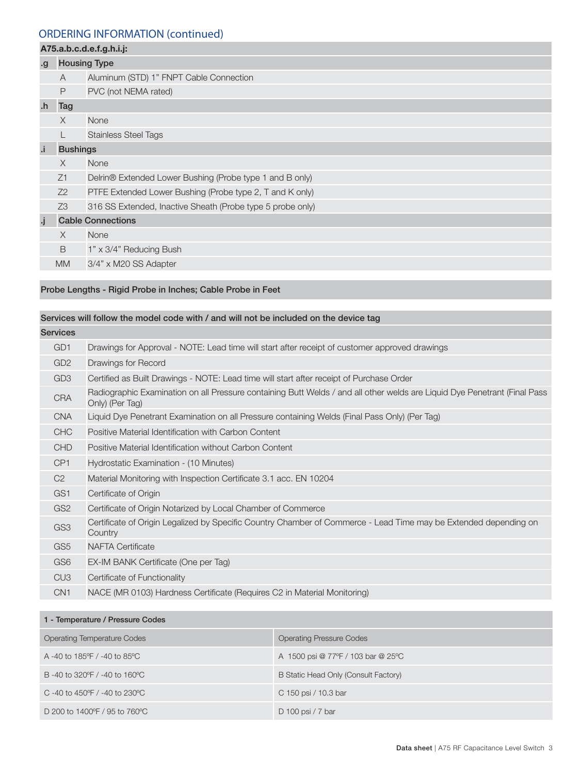### ORDERING INFORMATION (continued)

# **A75.a.b.c.d.e.f.g.h.i.j:** .g Housing Type A Aluminum (STD) 1" FNPT Cable Connection P PVC (not NEMA rated) .h Tag X None L Stainless Steel Tags .i Bushings X None Z1 Delrin® Extended Lower Bushing (Probe type 1 and B only) Z2 PTFE Extended Lower Bushing (Probe type 2, T and K only) Z3 316 SS Extended, Inactive Sheath (Probe type 5 probe only) .j Cable Connections X None B 1" x 3/4" Reducing Bush MM 3/4" x M20 SS Adapter

#### Probe Lengths - Rigid Probe in Inches; Cable Probe in Feet

### Services will follow the model code with / and will not be included on the device tag

| GD <sub>1</sub><br>Drawings for Approval - NOTE: Lead time will start after receipt of customer approved drawings<br>GD <sub>2</sub><br>Drawings for Record<br>GD <sub>3</sub><br>Certified as Built Drawings - NOTE: Lead time will start after receipt of Purchase Order<br>Radiographic Examination on all Pressure containing Butt Welds / and all other welds are Liquid Dye Penetrant (Final Pass<br><b>CRA</b><br>Only) (Per Tag)<br>Liquid Dye Penetrant Examination on all Pressure containing Welds (Final Pass Only) (Per Tag)<br><b>CNA</b><br><b>CHC</b><br>Positive Material Identification with Carbon Content<br><b>CHD</b><br>Positive Material Identification without Carbon Content<br>CP <sub>1</sub><br>Hydrostatic Examination - (10 Minutes)<br>C <sub>2</sub><br>Material Monitoring with Inspection Certificate 3.1 acc. EN 10204<br>GS1<br>Certificate of Origin<br>GS <sub>2</sub><br>Certificate of Origin Notarized by Local Chamber of Commerce<br>Certificate of Origin Legalized by Specific Country Chamber of Commerce - Lead Time may be Extended depending on<br>GS <sub>3</sub><br>Country<br>GS <sub>5</sub><br><b>NAFTA Certificate</b><br>GS <sub>6</sub><br>EX-IM BANK Certificate (One per Tag)<br>CU <sub>3</sub><br>Certificate of Functionality<br>CN <sub>1</sub><br>NACE (MR 0103) Hardness Certificate (Requires C2 in Material Monitoring) | <b>Services</b> |  |  |
|---------------------------------------------------------------------------------------------------------------------------------------------------------------------------------------------------------------------------------------------------------------------------------------------------------------------------------------------------------------------------------------------------------------------------------------------------------------------------------------------------------------------------------------------------------------------------------------------------------------------------------------------------------------------------------------------------------------------------------------------------------------------------------------------------------------------------------------------------------------------------------------------------------------------------------------------------------------------------------------------------------------------------------------------------------------------------------------------------------------------------------------------------------------------------------------------------------------------------------------------------------------------------------------------------------------------------------------------------------------------------------------------|-----------------|--|--|
|                                                                                                                                                                                                                                                                                                                                                                                                                                                                                                                                                                                                                                                                                                                                                                                                                                                                                                                                                                                                                                                                                                                                                                                                                                                                                                                                                                                             |                 |  |  |
|                                                                                                                                                                                                                                                                                                                                                                                                                                                                                                                                                                                                                                                                                                                                                                                                                                                                                                                                                                                                                                                                                                                                                                                                                                                                                                                                                                                             |                 |  |  |
|                                                                                                                                                                                                                                                                                                                                                                                                                                                                                                                                                                                                                                                                                                                                                                                                                                                                                                                                                                                                                                                                                                                                                                                                                                                                                                                                                                                             |                 |  |  |
|                                                                                                                                                                                                                                                                                                                                                                                                                                                                                                                                                                                                                                                                                                                                                                                                                                                                                                                                                                                                                                                                                                                                                                                                                                                                                                                                                                                             |                 |  |  |
|                                                                                                                                                                                                                                                                                                                                                                                                                                                                                                                                                                                                                                                                                                                                                                                                                                                                                                                                                                                                                                                                                                                                                                                                                                                                                                                                                                                             |                 |  |  |
|                                                                                                                                                                                                                                                                                                                                                                                                                                                                                                                                                                                                                                                                                                                                                                                                                                                                                                                                                                                                                                                                                                                                                                                                                                                                                                                                                                                             |                 |  |  |
|                                                                                                                                                                                                                                                                                                                                                                                                                                                                                                                                                                                                                                                                                                                                                                                                                                                                                                                                                                                                                                                                                                                                                                                                                                                                                                                                                                                             |                 |  |  |
|                                                                                                                                                                                                                                                                                                                                                                                                                                                                                                                                                                                                                                                                                                                                                                                                                                                                                                                                                                                                                                                                                                                                                                                                                                                                                                                                                                                             |                 |  |  |
|                                                                                                                                                                                                                                                                                                                                                                                                                                                                                                                                                                                                                                                                                                                                                                                                                                                                                                                                                                                                                                                                                                                                                                                                                                                                                                                                                                                             |                 |  |  |
|                                                                                                                                                                                                                                                                                                                                                                                                                                                                                                                                                                                                                                                                                                                                                                                                                                                                                                                                                                                                                                                                                                                                                                                                                                                                                                                                                                                             |                 |  |  |
|                                                                                                                                                                                                                                                                                                                                                                                                                                                                                                                                                                                                                                                                                                                                                                                                                                                                                                                                                                                                                                                                                                                                                                                                                                                                                                                                                                                             |                 |  |  |
|                                                                                                                                                                                                                                                                                                                                                                                                                                                                                                                                                                                                                                                                                                                                                                                                                                                                                                                                                                                                                                                                                                                                                                                                                                                                                                                                                                                             |                 |  |  |
|                                                                                                                                                                                                                                                                                                                                                                                                                                                                                                                                                                                                                                                                                                                                                                                                                                                                                                                                                                                                                                                                                                                                                                                                                                                                                                                                                                                             |                 |  |  |
|                                                                                                                                                                                                                                                                                                                                                                                                                                                                                                                                                                                                                                                                                                                                                                                                                                                                                                                                                                                                                                                                                                                                                                                                                                                                                                                                                                                             |                 |  |  |
|                                                                                                                                                                                                                                                                                                                                                                                                                                                                                                                                                                                                                                                                                                                                                                                                                                                                                                                                                                                                                                                                                                                                                                                                                                                                                                                                                                                             |                 |  |  |
|                                                                                                                                                                                                                                                                                                                                                                                                                                                                                                                                                                                                                                                                                                                                                                                                                                                                                                                                                                                                                                                                                                                                                                                                                                                                                                                                                                                             |                 |  |  |

| 1 - Temperature / Pressure Codes   |                                      |  |  |  |
|------------------------------------|--------------------------------------|--|--|--|
| <b>Operating Temperature Codes</b> | <b>Operating Pressure Codes</b>      |  |  |  |
| A -40 to 185°F / -40 to 85°C       | A 1500 psi @ 77°F / 103 bar @ 25°C   |  |  |  |
| B-40 to 320°F / -40 to 160°C       | B Static Head Only (Consult Factory) |  |  |  |
| C -40 to 450 °F / -40 to 230 °C    | C 150 psi / 10.3 bar                 |  |  |  |
| D 200 to 1400°F / 95 to 760°C      | D 100 psi / 7 bar                    |  |  |  |